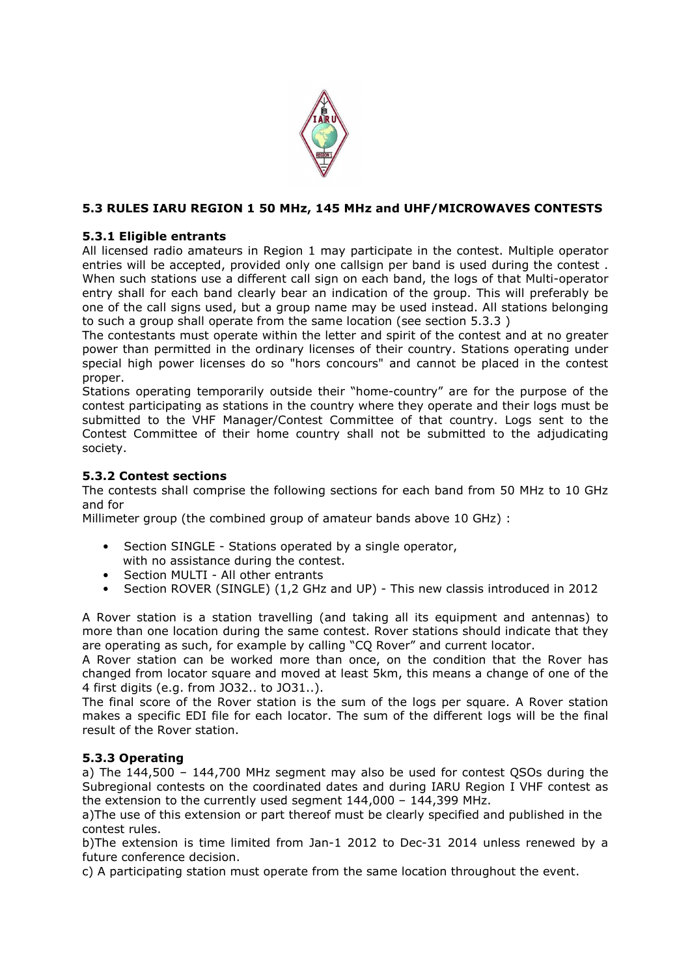

# **5.3 RULES IARU REGION 1 50 MHz, 145 MHz and UHF/MICROWAVES CONTESTS**

## **5.3.1 Eligible entrants**

All licensed radio amateurs in Region 1 may participate in the contest. Multiple operator entries will be accepted, provided only one callsign per band is used during the contest . When such stations use a different call sign on each band, the logs of that Multi-operator entry shall for each band clearly bear an indication of the group. This will preferably be one of the call signs used, but a group name may be used instead. All stations belonging to such a group shall operate from the same location (see section 5.3.3 )

The contestants must operate within the letter and spirit of the contest and at no greater power than permitted in the ordinary licenses of their country. Stations operating under special high power licenses do so "hors concours" and cannot be placed in the contest proper.

Stations operating temporarily outside their "home-country" are for the purpose of the contest participating as stations in the country where they operate and their logs must be submitted to the VHF Manager/Contest Committee of that country. Logs sent to the Contest Committee of their home country shall not be submitted to the adjudicating society.

## **5.3.2 Contest sections**

The contests shall comprise the following sections for each band from 50 MHz to 10 GHz and for

Millimeter group (the combined group of amateur bands above 10 GHz) :

- Section SINGLE Stations operated by a single operator, with no assistance during the contest.
- Section MULTI All other entrants
- Section ROVER (SINGLE) (1,2 GHz and UP) This new classis introduced in 2012

A Rover station is a station travelling (and taking all its equipment and antennas) to more than one location during the same contest. Rover stations should indicate that they are operating as such, for example by calling "CQ Rover" and current locator.

A Rover station can be worked more than once, on the condition that the Rover has changed from locator square and moved at least 5km, this means a change of one of the 4 first digits (e.g. from JO32.. to JO31..).

The final score of the Rover station is the sum of the logs per square. A Rover station makes a specific EDI file for each locator. The sum of the different logs will be the final result of the Rover station.

#### **5.3.3 Operating**

a) The 144,500 – 144,700 MHz segment may also be used for contest QSOs during the Subregional contests on the coordinated dates and during IARU Region I VHF contest as the extension to the currently used segment 144,000 – 144,399 MHz.

a)The use of this extension or part thereof must be clearly specified and published in the contest rules.

b)The extension is time limited from Jan-1 2012 to Dec-31 2014 unless renewed by a future conference decision.

c) A participating station must operate from the same location throughout the event.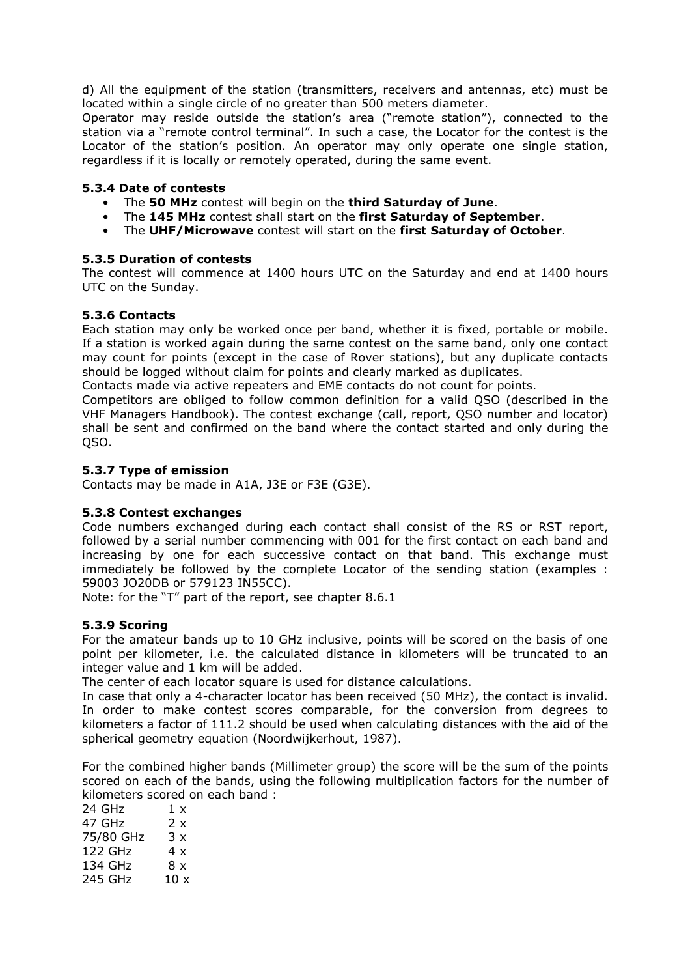d) All the equipment of the station (transmitters, receivers and antennas, etc) must be located within a single circle of no greater than 500 meters diameter.

Operator may reside outside the station's area ("remote station"), connected to the station via a "remote control terminal". In such a case, the Locator for the contest is the Locator of the station's position. An operator may only operate one single station, regardless if it is locally or remotely operated, during the same event.

### **5.3.4 Date of contests**

- The **50 MHz** contest will begin on the **third Saturday of June**.
- The **145 MHz** contest shall start on the **first Saturday of September**.
- The **UHF/Microwave** contest will start on the **first Saturday of October**.

## **5.3.5 Duration of contests**

The contest will commence at 1400 hours UTC on the Saturday and end at 1400 hours UTC on the Sunday.

## **5.3.6 Contacts**

Each station may only be worked once per band, whether it is fixed, portable or mobile. If a station is worked again during the same contest on the same band, only one contact may count for points (except in the case of Rover stations), but any duplicate contacts should be logged without claim for points and clearly marked as duplicates.

Contacts made via active repeaters and EME contacts do not count for points.

Competitors are obliged to follow common definition for a valid QSO (described in the VHF Managers Handbook). The contest exchange (call, report, QSO number and locator) shall be sent and confirmed on the band where the contact started and only during the QSO.

## **5.3.7 Type of emission**

Contacts may be made in A1A, J3E or F3E (G3E).

#### **5.3.8 Contest exchanges**

Code numbers exchanged during each contact shall consist of the RS or RST report, followed by a serial number commencing with 001 for the first contact on each band and increasing by one for each successive contact on that band. This exchange must immediately be followed by the complete Locator of the sending station (examples : 59003 JO20DB or 579123 IN55CC).

Note: for the "T" part of the report, see chapter 8.6.1

#### **5.3.9 Scoring**

For the amateur bands up to 10 GHz inclusive, points will be scored on the basis of one point per kilometer, i.e. the calculated distance in kilometers will be truncated to an integer value and 1 km will be added.

The center of each locator square is used for distance calculations.

In case that only a 4-character locator has been received (50 MHz), the contact is invalid. In order to make contest scores comparable, for the conversion from degrees to kilometers a factor of 111.2 should be used when calculating distances with the aid of the spherical geometry equation (Noordwijkerhout, 1987).

For the combined higher bands (Millimeter group) the score will be the sum of the points scored on each of the bands, using the following multiplication factors for the number of kilometers scored on each band :

| 3 x               |
|-------------------|
|                   |
|                   |
| 10x               |
| 2 x<br>4 x<br>8 x |